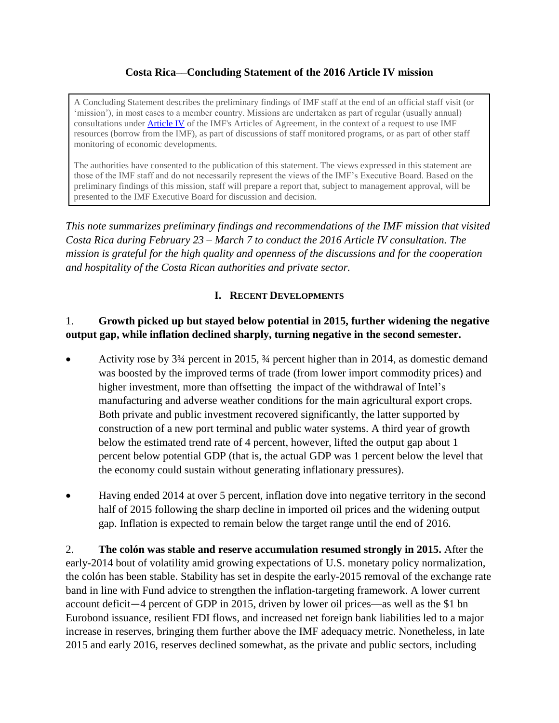## **Costa Rica––Concluding Statement of the 2016 Article IV mission**

A Concluding Statement describes the preliminary findings of IMF staff at the end of an official staff visit (or 'mission'), in most cases to a member country. Missions are undertaken as part of regular (usually annual) consultations under [Article IV](http://www.imf.org/external/pubs/ft/aa/aa04.htm) of the IMF's Articles of Agreement, in the context of a request to use IMF resources (borrow from the IMF), as part of discussions of staff monitored programs, or as part of other staff monitoring of economic developments.

The authorities have consented to the publication of this statement. The views expressed in this statement are those of the IMF staff and do not necessarily represent the views of the IMF's Executive Board. Based on the preliminary findings of this mission, staff will prepare a report that, subject to management approval, will be presented to the IMF Executive Board for discussion and decision.

*This note summarizes preliminary findings and recommendations of the IMF mission that visited Costa Rica during February 23 – March 7 to conduct the 2016 Article IV consultation. The mission is grateful for the high quality and openness of the discussions and for the cooperation and hospitality of the Costa Rican authorities and private sector.*

## **I. RECENT DEVELOPMENTS**

## 1. **Growth picked up but stayed below potential in 2015, further widening the negative output gap, while inflation declined sharply, turning negative in the second semester.**

- Activity rose by 3¾ percent in 2015, ¾ percent higher than in 2014, as domestic demand was boosted by the improved terms of trade (from lower import commodity prices) and higher investment, more than offsetting the impact of the withdrawal of Intel's manufacturing and adverse weather conditions for the main agricultural export crops. Both private and public investment recovered significantly, the latter supported by construction of a new port terminal and public water systems. A third year of growth below the estimated trend rate of 4 percent, however, lifted the output gap about 1 percent below potential GDP (that is, the actual GDP was 1 percent below the level that the economy could sustain without generating inflationary pressures).
- Having ended 2014 at over 5 percent, inflation dove into negative territory in the second half of 2015 following the sharp decline in imported oil prices and the widening output gap. Inflation is expected to remain below the target range until the end of 2016.

2. **The colón was stable and reserve accumulation resumed strongly in 2015.** After the early-2014 bout of volatility amid growing expectations of U.S. monetary policy normalization, the colón has been stable. Stability has set in despite the early-2015 removal of the exchange rate band in line with Fund advice to strengthen the inflation-targeting framework. A lower current account deficit—4 percent of GDP in 2015, driven by lower oil prices—as well as the \$1 bn Eurobond issuance, resilient FDI flows, and increased net foreign bank liabilities led to a major increase in reserves, bringing them further above the IMF adequacy metric. Nonetheless, in late 2015 and early 2016, reserves declined somewhat, as the private and public sectors, including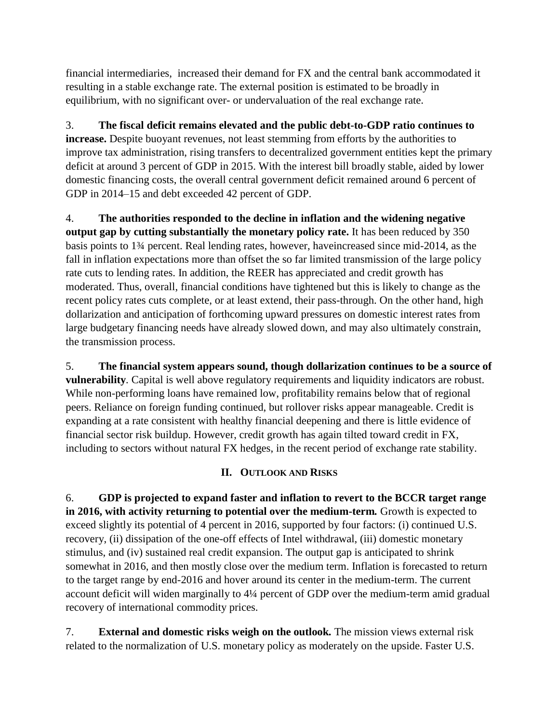financial intermediaries, increased their demand for FX and the central bank accommodated it resulting in a stable exchange rate. The external position is estimated to be broadly in equilibrium, with no significant over- or undervaluation of the real exchange rate.

3. **The fiscal deficit remains elevated and the public debt-to-GDP ratio continues to increase.** Despite buoyant revenues, not least stemming from efforts by the authorities to improve tax administration, rising transfers to decentralized government entities kept the primary deficit at around 3 percent of GDP in 2015. With the interest bill broadly stable, aided by lower domestic financing costs, the overall central government deficit remained around 6 percent of GDP in 2014–15 and debt exceeded 42 percent of GDP.

4. **The authorities responded to the decline in inflation and the widening negative output gap by cutting substantially the monetary policy rate.** It has been reduced by 350 basis points to 1¾ percent. Real lending rates, however, haveincreased since mid-2014, as the fall in inflation expectations more than offset the so far limited transmission of the large policy rate cuts to lending rates. In addition, the REER has appreciated and credit growth has moderated. Thus, overall, financial conditions have tightened but this is likely to change as the recent policy rates cuts complete, or at least extend, their pass-through. On the other hand, high dollarization and anticipation of forthcoming upward pressures on domestic interest rates from large budgetary financing needs have already slowed down, and may also ultimately constrain, the transmission process.

5. **The financial system appears sound, though dollarization continues to be a source of vulnerability***.* Capital is well above regulatory requirements and liquidity indicators are robust. While non-performing loans have remained low, profitability remains below that of regional peers. Reliance on foreign funding continued, but rollover risks appear manageable. Credit is expanding at a rate consistent with healthy financial deepening and there is little evidence of financial sector risk buildup. However, credit growth has again tilted toward credit in FX, including to sectors without natural FX hedges, in the recent period of exchange rate stability.

## **II. OUTLOOK AND RISKS**

6. **GDP is projected to expand faster and inflation to revert to the BCCR target range in 2016, with activity returning to potential over the medium-term***.* Growth is expected to exceed slightly its potential of 4 percent in 2016, supported by four factors: (i) continued U.S. recovery, (ii) dissipation of the one-off effects of Intel withdrawal, (iii) domestic monetary stimulus, and (iv) sustained real credit expansion. The output gap is anticipated to shrink somewhat in 2016, and then mostly close over the medium term. Inflation is forecasted to return to the target range by end-2016 and hover around its center in the medium-term. The current account deficit will widen marginally to 4¼ percent of GDP over the medium-term amid gradual recovery of international commodity prices.

7. **External and domestic risks weigh on the outlook***.* The mission views external risk related to the normalization of U.S. monetary policy as moderately on the upside. Faster U.S.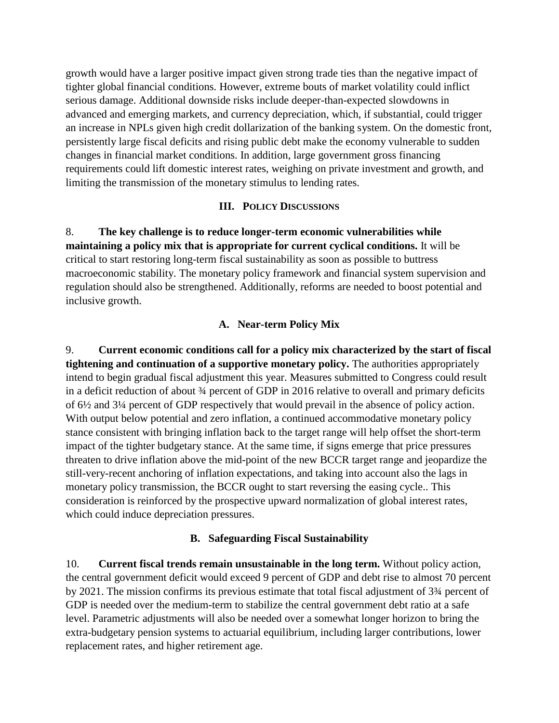growth would have a larger positive impact given strong trade ties than the negative impact of tighter global financial conditions. However, extreme bouts of market volatility could inflict serious damage. Additional downside risks include deeper-than-expected slowdowns in advanced and emerging markets, and currency depreciation, which, if substantial, could trigger an increase in NPLs given high credit dollarization of the banking system. On the domestic front, persistently large fiscal deficits and rising public debt make the economy vulnerable to sudden changes in financial market conditions. In addition, large government gross financing requirements could lift domestic interest rates, weighing on private investment and growth, and limiting the transmission of the monetary stimulus to lending rates.

#### **III. POLICY DISCUSSIONS**

8. **The key challenge is to reduce longer-term economic vulnerabilities while maintaining a policy mix that is appropriate for current cyclical conditions.** It will be critical to start restoring long-term fiscal sustainability as soon as possible to buttress macroeconomic stability. The monetary policy framework and financial system supervision and regulation should also be strengthened. Additionally, reforms are needed to boost potential and inclusive growth.

### **A. Near-term Policy Mix**

9. **Current economic conditions call for a policy mix characterized by the start of fiscal tightening and continuation of a supportive monetary policy.** The authorities appropriately intend to begin gradual fiscal adjustment this year. Measures submitted to Congress could result in a deficit reduction of about ¾ percent of GDP in 2016 relative to overall and primary deficits of 6½ and 3¼ percent of GDP respectively that would prevail in the absence of policy action. With output below potential and zero inflation, a continued accommodative monetary policy stance consistent with bringing inflation back to the target range will help offset the short-term impact of the tighter budgetary stance. At the same time, if signs emerge that price pressures threaten to drive inflation above the mid-point of the new BCCR target range and jeopardize the still-very-recent anchoring of inflation expectations, and taking into account also the lags in monetary policy transmission, the BCCR ought to start reversing the easing cycle.. This consideration is reinforced by the prospective upward normalization of global interest rates, which could induce depreciation pressures.

### **B. Safeguarding Fiscal Sustainability**

10. **Current fiscal trends remain unsustainable in the long term.** Without policy action, the central government deficit would exceed 9 percent of GDP and debt rise to almost 70 percent by 2021. The mission confirms its previous estimate that total fiscal adjustment of 3¾ percent of GDP is needed over the medium-term to stabilize the central government debt ratio at a safe level. Parametric adjustments will also be needed over a somewhat longer horizon to bring the extra-budgetary pension systems to actuarial equilibrium, including larger contributions, lower replacement rates, and higher retirement age.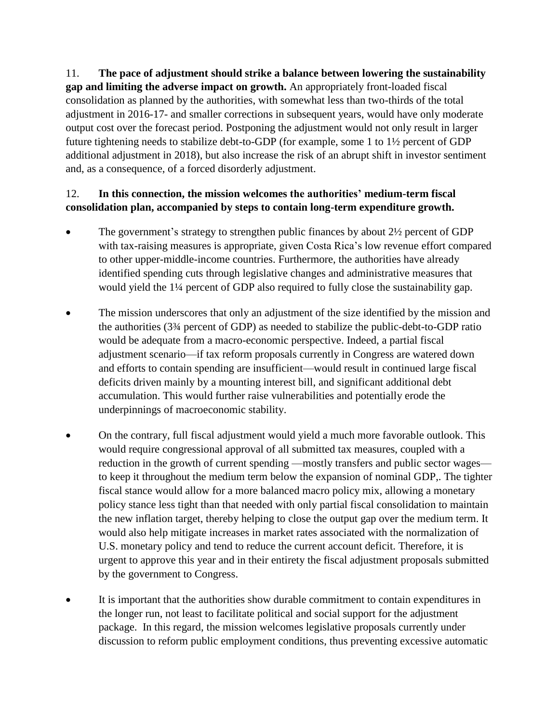11. **The pace of adjustment should strike a balance between lowering the sustainability gap and limiting the adverse impact on growth.** An appropriately front-loaded fiscal consolidation as planned by the authorities, with somewhat less than two-thirds of the total adjustment in 2016-17- and smaller corrections in subsequent years, would have only moderate output cost over the forecast period. Postponing the adjustment would not only result in larger future tightening needs to stabilize debt-to-GDP (for example, some 1 to 1½ percent of GDP additional adjustment in 2018), but also increase the risk of an abrupt shift in investor sentiment and, as a consequence, of a forced disorderly adjustment.

# 12. **In this connection, the mission welcomes the authorities' medium-term fiscal consolidation plan, accompanied by steps to contain long-term expenditure growth.**

- The government's strategy to strengthen public finances by about  $2\frac{1}{2}$  percent of GDP with tax-raising measures is appropriate, given Costa Rica's low revenue effort compared to other upper-middle-income countries. Furthermore, the authorities have already identified spending cuts through legislative changes and administrative measures that would yield the 1¼ percent of GDP also required to fully close the sustainability gap.
- The mission underscores that only an adjustment of the size identified by the mission and the authorities (3¾ percent of GDP) as needed to stabilize the public-debt-to-GDP ratio would be adequate from a macro-economic perspective. Indeed, a partial fiscal adjustment scenario—if tax reform proposals currently in Congress are watered down and efforts to contain spending are insufficient—would result in continued large fiscal deficits driven mainly by a mounting interest bill, and significant additional debt accumulation. This would further raise vulnerabilities and potentially erode the underpinnings of macroeconomic stability.
- On the contrary, full fiscal adjustment would yield a much more favorable outlook. This would require congressional approval of all submitted tax measures, coupled with a reduction in the growth of current spending —mostly transfers and public sector wages to keep it throughout the medium term below the expansion of nominal GDP,. The tighter fiscal stance would allow for a more balanced macro policy mix, allowing a monetary policy stance less tight than that needed with only partial fiscal consolidation to maintain the new inflation target, thereby helping to close the output gap over the medium term. It would also help mitigate increases in market rates associated with the normalization of U.S. monetary policy and tend to reduce the current account deficit. Therefore, it is urgent to approve this year and in their entirety the fiscal adjustment proposals submitted by the government to Congress.
- It is important that the authorities show durable commitment to contain expenditures in the longer run, not least to facilitate political and social support for the adjustment package. In this regard, the mission welcomes legislative proposals currently under discussion to reform public employment conditions, thus preventing excessive automatic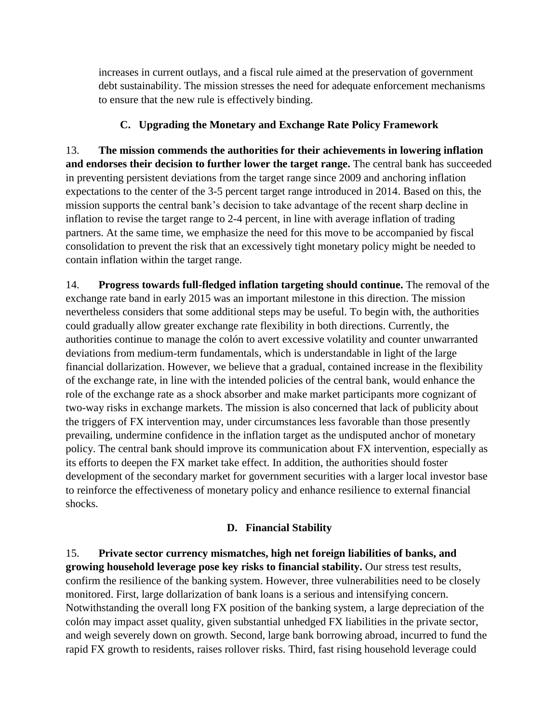increases in current outlays, and a fiscal rule aimed at the preservation of government debt sustainability. The mission stresses the need for adequate enforcement mechanisms to ensure that the new rule is effectively binding.

# **C. Upgrading the Monetary and Exchange Rate Policy Framework**

13. **The mission commends the authorities for their achievements in lowering inflation and endorses their decision to further lower the target range.** The central bank has succeeded in preventing persistent deviations from the target range since 2009 and anchoring inflation expectations to the center of the 3-5 percent target range introduced in 2014. Based on this, the mission supports the central bank's decision to take advantage of the recent sharp decline in inflation to revise the target range to 2-4 percent, in line with average inflation of trading partners. At the same time, we emphasize the need for this move to be accompanied by fiscal consolidation to prevent the risk that an excessively tight monetary policy might be needed to contain inflation within the target range.

14. **Progress towards full-fledged inflation targeting should continue.** The removal of the exchange rate band in early 2015 was an important milestone in this direction. The mission nevertheless considers that some additional steps may be useful. To begin with, the authorities could gradually allow greater exchange rate flexibility in both directions. Currently, the authorities continue to manage the colón to avert excessive volatility and counter unwarranted deviations from medium-term fundamentals, which is understandable in light of the large financial dollarization. However, we believe that a gradual, contained increase in the flexibility of the exchange rate, in line with the intended policies of the central bank, would enhance the role of the exchange rate as a shock absorber and make market participants more cognizant of two-way risks in exchange markets. The mission is also concerned that lack of publicity about the triggers of FX intervention may, under circumstances less favorable than those presently prevailing, undermine confidence in the inflation target as the undisputed anchor of monetary policy. The central bank should improve its communication about FX intervention, especially as its efforts to deepen the FX market take effect. In addition, the authorities should foster development of the secondary market for government securities with a larger local investor base to reinforce the effectiveness of monetary policy and enhance resilience to external financial shocks.

## **D. Financial Stability**

15. **Private sector currency mismatches, high net foreign liabilities of banks, and growing household leverage pose key risks to financial stability.** Our stress test results, confirm the resilience of the banking system. However, three vulnerabilities need to be closely monitored. First, large dollarization of bank loans is a serious and intensifying concern. Notwithstanding the overall long FX position of the banking system, a large depreciation of the colón may impact asset quality, given substantial unhedged FX liabilities in the private sector, and weigh severely down on growth. Second, large bank borrowing abroad, incurred to fund the rapid FX growth to residents, raises rollover risks. Third, fast rising household leverage could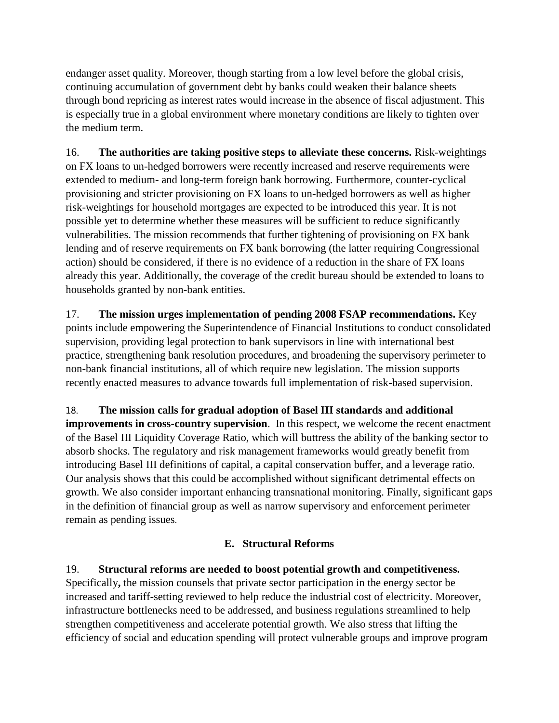endanger asset quality. Moreover, though starting from a low level before the global crisis, continuing accumulation of government debt by banks could weaken their balance sheets through bond repricing as interest rates would increase in the absence of fiscal adjustment. This is especially true in a global environment where monetary conditions are likely to tighten over the medium term.

16. **The authorities are taking positive steps to alleviate these concerns.** Risk-weightings on FX loans to un-hedged borrowers were recently increased and reserve requirements were extended to medium- and long-term foreign bank borrowing. Furthermore, counter-cyclical provisioning and stricter provisioning on FX loans to un-hedged borrowers as well as higher risk-weightings for household mortgages are expected to be introduced this year. It is not possible yet to determine whether these measures will be sufficient to reduce significantly vulnerabilities. The mission recommends that further tightening of provisioning on FX bank lending and of reserve requirements on FX bank borrowing (the latter requiring Congressional action) should be considered, if there is no evidence of a reduction in the share of FX loans already this year. Additionally, the coverage of the credit bureau should be extended to loans to households granted by non-bank entities.

17. **The mission urges implementation of pending 2008 FSAP recommendations.** Key points include empowering the Superintendence of Financial Institutions to conduct consolidated supervision, providing legal protection to bank supervisors in line with international best practice, strengthening bank resolution procedures, and broadening the supervisory perimeter to non-bank financial institutions, all of which require new legislation. The mission supports recently enacted measures to advance towards full implementation of risk-based supervision.

18. **The mission calls for gradual adoption of Basel III standards and additional improvements in cross-country supervision**. In this respect, we welcome the recent enactment of the Basel III Liquidity Coverage Ratio, which will buttress the ability of the banking sector to absorb shocks. The regulatory and risk management frameworks would greatly benefit from introducing Basel III definitions of capital, a capital conservation buffer, and a leverage ratio. Our analysis shows that this could be accomplished without significant detrimental effects on growth. We also consider important enhancing transnational monitoring. Finally, significant gaps in the definition of financial group as well as narrow supervisory and enforcement perimeter remain as pending issues.

## **E. Structural Reforms**

19. **Structural reforms are needed to boost potential growth and competitiveness.**  Specifically**,** the mission counsels that private sector participation in the energy sector be increased and tariff-setting reviewed to help reduce the industrial cost of electricity. Moreover, infrastructure bottlenecks need to be addressed, and business regulations streamlined to help strengthen competitiveness and accelerate potential growth. We also stress that lifting the efficiency of social and education spending will protect vulnerable groups and improve program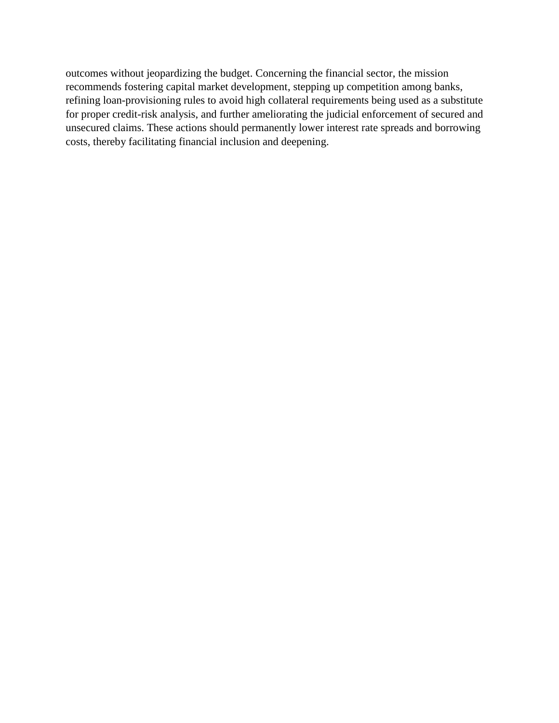outcomes without jeopardizing the budget. Concerning the financial sector, the mission recommends fostering capital market development, stepping up competition among banks, refining loan-provisioning rules to avoid high collateral requirements being used as a substitute for proper credit-risk analysis, and further ameliorating the judicial enforcement of secured and unsecured claims. These actions should permanently lower interest rate spreads and borrowing costs, thereby facilitating financial inclusion and deepening.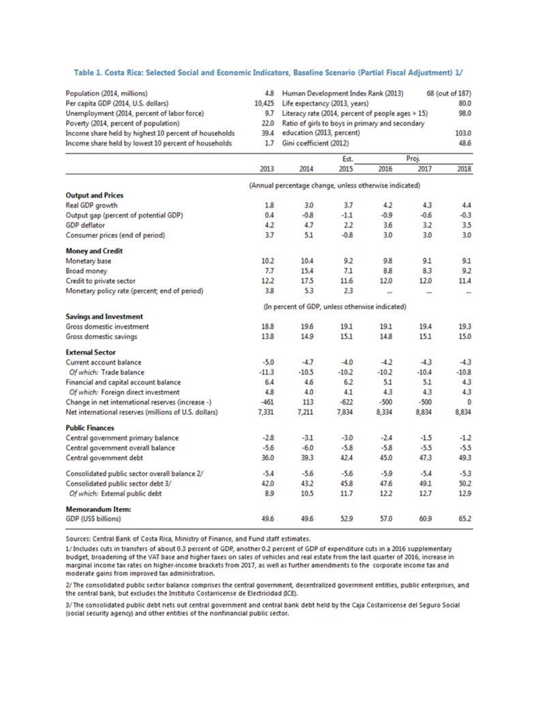| Population (2014, millions)                                                                                   | 4.8                                                    | Human Development Index Rank (2013)                                                                  |              | 68 (out of 187) |         |           |  |  |  |
|---------------------------------------------------------------------------------------------------------------|--------------------------------------------------------|------------------------------------------------------------------------------------------------------|--------------|-----------------|---------|-----------|--|--|--|
| Per capita GDP (2014, U.S. dollars)                                                                           | 10,425<br>9.7<br>22.0<br>39.4<br>1.7                   | Life expectancy (2013, years)                                                                        | 80.0<br>98.0 |                 |         |           |  |  |  |
| Unemployment (2014, percent of labor force)<br>Poverty (2014, percent of population)                          |                                                        | Literacy rate (2014, percent of people ages > 15)<br>Ratio of girls to boys in primary and secondary |              |                 |         |           |  |  |  |
| Income share held by highest 10 percent of households<br>Income share held by lowest 10 percent of households |                                                        | education (2013, percent)                                                                            |              | 103.0<br>48.6   |         |           |  |  |  |
|                                                                                                               |                                                        | Gini coefficient (2012)                                                                              |              |                 |         |           |  |  |  |
|                                                                                                               |                                                        |                                                                                                      |              |                 |         |           |  |  |  |
|                                                                                                               |                                                        |                                                                                                      | Est.         |                 | Proj.   |           |  |  |  |
|                                                                                                               | 2013                                                   | 2014                                                                                                 | 2015         | 2016            | 2017    | 2018      |  |  |  |
|                                                                                                               | (Annual percentage change, unless otherwise indicated) |                                                                                                      |              |                 |         |           |  |  |  |
| <b>Output and Prices</b>                                                                                      |                                                        |                                                                                                      |              |                 |         |           |  |  |  |
| Real GDP growth                                                                                               | 1.8                                                    | 3.0                                                                                                  | 3.7          | 4.2             | 4.3     | 4.4       |  |  |  |
| Output gap (percent of potential GDP)                                                                         | 0.4                                                    | $-0.8$                                                                                               | $-1.1$       | $-0.9$          | $-0.6$  | $-0.3$    |  |  |  |
| GDP deflator                                                                                                  | 4.2                                                    | 4.7                                                                                                  | 2.2          | 3.6             | 3.2     | 3.5       |  |  |  |
| Consumer prices (end of period)                                                                               | 3.7                                                    | 5.1                                                                                                  | $-0.8$       | 3.0             | 3.0     | 3.0       |  |  |  |
| <b>Money and Credit</b>                                                                                       |                                                        |                                                                                                      |              |                 |         |           |  |  |  |
| Monetary base                                                                                                 | 10.2                                                   | 10.4                                                                                                 | 9.2          | 9.8             | 9.1     | 9.1       |  |  |  |
| Broad money                                                                                                   | 7.7                                                    | 15.4                                                                                                 | 7.1          | 8.8             | 8.3     | 9.2       |  |  |  |
| Credit to private sector                                                                                      | 12.2                                                   | 17.5                                                                                                 | 11.6         | 12.0            | 12.0    | 11.4      |  |  |  |
| Monetary policy rate (percent; end of period)                                                                 | 3.8                                                    | 5.3                                                                                                  | 2.3          | $\cdots$        | m.      | $\pm 0.0$ |  |  |  |
|                                                                                                               | (In percent of GDP, unless otherwise indicated)        |                                                                                                      |              |                 |         |           |  |  |  |
| <b>Savings and Investment</b>                                                                                 |                                                        |                                                                                                      |              |                 |         |           |  |  |  |
| Gross domestic investment                                                                                     | 18.8                                                   | 19.6                                                                                                 | 19.1         | 19.1            | 19.4    | 19.3      |  |  |  |
| Gross domestic savings                                                                                        | 13.8                                                   | 14.9                                                                                                 | 15.1         | 14.8            | 15.1    | 15.0      |  |  |  |
| <b>External Sector</b>                                                                                        |                                                        |                                                                                                      |              |                 |         |           |  |  |  |
| Current account balance                                                                                       | $-5.0$                                                 | $-4.7$                                                                                               | $-4.0$       | $-4.2$          | $-4.3$  | $-4.3$    |  |  |  |
| Of which: Trade balance                                                                                       | $-11.3$                                                | $-10.5$                                                                                              | $-10.2$      | $-10.2$         | $-10.4$ | $-10.8$   |  |  |  |
| Financial and capital account balance                                                                         | 6.4                                                    | 4.6                                                                                                  | 6.2          | 5.1             | 5.1     | 4.3       |  |  |  |
| Of which: Foreign direct investment                                                                           | 4.8                                                    | 4.0                                                                                                  | 4.1          | 4.3             | 4.3     | 4.3       |  |  |  |
| Change in net international reserves (increase -)                                                             | $-461$                                                 | 113                                                                                                  | $-622$       | $-500$          | $-500$  | $\Omega$  |  |  |  |
| Net international reserves (millions of U.S. dollars)                                                         | 7,331                                                  | 7,211                                                                                                | 7,834        | 8,334           | 8,834   | 8,834     |  |  |  |
| <b>Public Finances</b>                                                                                        |                                                        |                                                                                                      |              |                 |         |           |  |  |  |
| Central government primary balance                                                                            | $-2.8$                                                 | $-3.1$                                                                                               | $-3.0$       | $-2.4$          | $-1.5$  | $-1.2$    |  |  |  |
| Central government overall balance                                                                            | $-5.6$                                                 | $-6.0$                                                                                               | $-5.8$       | $-5.8$          | $-5.5$  | $-5.5$    |  |  |  |
| Central government debt                                                                                       | 36.0                                                   | 39.3                                                                                                 | 42.4         | 45.0            | 47.3    | 49.3      |  |  |  |
| Consolidated public sector overall balance 2/                                                                 | $-5.4$                                                 | $-5.6$                                                                                               | $-5.6$       | $-5.9$          | $-5.4$  | $-5.3$    |  |  |  |
| Consolidated public sector debt 3/                                                                            | 42.0                                                   | 43.2                                                                                                 | 45.8         | 47.6            | 49.1    | 50.2      |  |  |  |
| Of which: External public debt                                                                                | 8.9                                                    | 10.5                                                                                                 | 11.7         | 12.2            | 12.7    | 12.9      |  |  |  |
| <b>Memorandum Item:</b>                                                                                       |                                                        |                                                                                                      |              |                 |         |           |  |  |  |
| GDP (US\$ billions)                                                                                           | 49.6                                                   | 49.6                                                                                                 | 52.9         | 57.0            | 60.9    | 65.2      |  |  |  |
|                                                                                                               |                                                        |                                                                                                      |              |                 |         |           |  |  |  |

Sources: Central Bank of Costa Rica, Ministry of Finance, and Fund staff estimates.

1/ Includes cuts in transfers of about 0.3 percent of GDP, another 0.2 percent of GDP of expenditure cuts in a 2016 supplementary budget, broadening of the VAT base and higher taxes on sales of vehicles and real estate from the last quarter of 2016, increase in marginal income tax rates on higher-income brackets from 2017, as well as further amendments to the corporate income tax and moderate gains from improved tax administration.

2/ The consolidated public sector balance comprises the central government, decentralized government entities, public enterprises, and the central bank, but excludes the Instituto Costarricense de Electricidad (ICE).

3/ The consolidated public debt nets out central government and central bank debt held by the Caja Costarricense del Seguro Social (social security agency) and other entities of the nonfinancial public sector.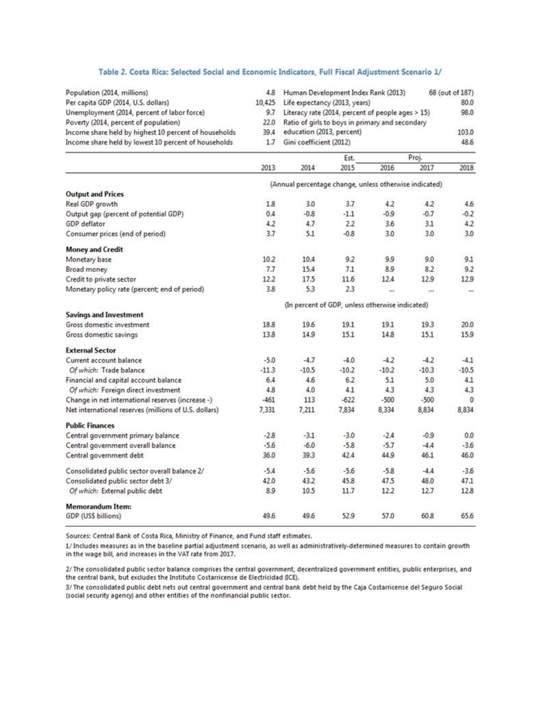#### Table 2. Costa Rica: Selected Social and Economic Indicators, Full Fiscal Adjustment Scenario 1/

| Population (2014, millions)                                                                                   | 4.8<br>10,425                                   | Human Development Index Rank (2013)                                                                                                        |              | 68 (out of 187) |               |              |  |  |
|---------------------------------------------------------------------------------------------------------------|-------------------------------------------------|--------------------------------------------------------------------------------------------------------------------------------------------|--------------|-----------------|---------------|--------------|--|--|
| Per capita GDP (2014, U.S. dollars)<br>Unemployment (2014, percent of labor force)                            | 9.7<br>22.0<br>39.4<br>1.7                      | Life expectancy (2013, years)                                                                                                              | 80.0<br>98.0 |                 |               |              |  |  |
| Poverty (2014, percent of population)                                                                         |                                                 | Literacy rate (2014, percent of people ages > 15)<br>Ratio of girls to boys in primary and secondary<br>education (2013, percent)<br>103.0 |              |                 |               |              |  |  |
| Income share held by highest 10 percent of households<br>Income share held by lowest 10 percent of households |                                                 |                                                                                                                                            |              |                 |               |              |  |  |
|                                                                                                               |                                                 | Gini coefficient (2012)                                                                                                                    |              | 48.6            |               |              |  |  |
|                                                                                                               |                                                 |                                                                                                                                            |              |                 |               |              |  |  |
|                                                                                                               | 2013                                            | 2014                                                                                                                                       | Est.<br>2015 | 2016            | Proj.<br>2017 | 2018         |  |  |
|                                                                                                               |                                                 |                                                                                                                                            |              |                 |               |              |  |  |
| <b>Output and Prices</b>                                                                                      |                                                 | (Annual percentage change, unless otherwise indicated)                                                                                     |              |                 |               |              |  |  |
| Real GDP growth                                                                                               | 1.8                                             | 3.0                                                                                                                                        | 3.7          | 4.2             | 4.2           | 4.6          |  |  |
| Output gap (percent of potential GDP)                                                                         | 0.4                                             | $-0.8$                                                                                                                                     | $-1.1$       | $-0.9$          | $-0.7$        | $-0.2$       |  |  |
| GDP deflator                                                                                                  | 4.2                                             | 4.7                                                                                                                                        | 2.2          | 3.6             | 3.1           | 4.2          |  |  |
| Consumer prices (end of period)                                                                               | 3.7                                             | 5.1                                                                                                                                        | $-0.8$       | 3.0             | 3.0           | 3.0          |  |  |
| <b>Money and Credit</b>                                                                                       |                                                 |                                                                                                                                            |              |                 |               |              |  |  |
| Monetary base                                                                                                 | 10.2                                            | 10.4                                                                                                                                       | 9.2          | 9.9             | 9.0           | 9.1          |  |  |
| Broad money                                                                                                   | 7.7                                             | 15.4                                                                                                                                       | 7.1          | 8.9             | 8.2           | 9.2          |  |  |
| Credit to private sector                                                                                      | 12.2                                            | 17.5                                                                                                                                       | 11.6         | 12.4            | 12.9          | 12.9         |  |  |
| Monetary policy rate (percent; end of period)                                                                 | 3.8                                             | 5.3                                                                                                                                        | 2.3          | $\cdots$        | ш             | <b>Lake</b>  |  |  |
|                                                                                                               | (In percent of GDP, unless otherwise indicated) |                                                                                                                                            |              |                 |               |              |  |  |
| <b>Savings and Investment</b>                                                                                 |                                                 |                                                                                                                                            |              |                 |               |              |  |  |
| Gross domestic investment                                                                                     | 18.8                                            | 19.6                                                                                                                                       | 19.1         | 19.1            | 19.3          | 20.0         |  |  |
| Gross domestic savings                                                                                        | 13.8                                            | 14.9                                                                                                                                       | 15.1         | 14.8            | 15.1          | 15.9         |  |  |
| <b>External Sector</b>                                                                                        |                                                 |                                                                                                                                            |              |                 |               |              |  |  |
| Current account balance                                                                                       | $-5.0$                                          | $-4.7$                                                                                                                                     | $-4.0$       | $-4.2$          | $-4.2$        | $-4.1$       |  |  |
| Of which: Trade balance                                                                                       | $-11.3$                                         | $-10.5$                                                                                                                                    | $-10.2$      | $-10.2$         | $-10.3$       | $-10.5$      |  |  |
| Financial and capital account balance                                                                         | 6.4                                             | 4.6                                                                                                                                        | 6.2          | 5.1             | 5.0           | 4.1          |  |  |
| Of which: Foreign direct investment                                                                           | 4.8                                             | 4.0                                                                                                                                        | 4.1          | 4.3             | 4.3           | 4.3          |  |  |
| Change in net international reserves (increase -)                                                             | $-461$                                          | 113                                                                                                                                        | $-622$       | $-500$          | $-500$        | $\mathbf{0}$ |  |  |
| Net international reserves (millions of U.S. dollars)                                                         | 7,331                                           | 7,211                                                                                                                                      | 7,834        | 8,334           | 8,834         | 8,834        |  |  |
| <b>Public Finances</b>                                                                                        |                                                 |                                                                                                                                            |              |                 |               |              |  |  |
| Central government primary balance                                                                            | $-2.8$                                          | $-3.1$                                                                                                                                     | $-3.0$       | $-2.4$          | $-0.9$        | 0.0          |  |  |
| Central government overall balance                                                                            | $-5.6$                                          | $-6.0$                                                                                                                                     | $-5.8$       | $-5.7$          | $-4.4$        | $-3.6$       |  |  |
| Central government debt                                                                                       | 36.0                                            | 39.3                                                                                                                                       | 42.4         | 44.9            | 46.1          | 46.0         |  |  |
| Consolidated public sector overall balance 2/                                                                 | $-5.4$                                          | $-5.6$                                                                                                                                     | $-5.6$       | $-5.8$          | $-4.4$        | $-3.6$       |  |  |
| Consolidated public sector debt 3/                                                                            | 42.0                                            | 43.2                                                                                                                                       | 45.8         | 47.5            | 48.0          | 47.1         |  |  |
| Of which: External public debt                                                                                | 8.9                                             | 10.5                                                                                                                                       | 11.7         | 12.2            | 12.7          | 12.8         |  |  |
| <b>Memorandum Item:</b>                                                                                       |                                                 |                                                                                                                                            |              |                 |               |              |  |  |
| GDP (USS billions)                                                                                            | 49.6                                            | 49.6                                                                                                                                       | 52.9         | 57.0            | 60.8          | 65.6         |  |  |

Sources: Central Bank of Costa Rica, Ministry of Finance, and Fund staff estimates.

1/ Includes measures as in the baseline partial adjustment scenario, as well as administratively-determined measures to contain growth in the wage bill, and increases in the VAT rate from 2017.

2/ The consolidated public sector balance comprises the central government, decentralized government entities, public enterprises, and the central bank, but excludes the Instituto Costarricense de Electricidad (ICE).

3/ The consolidated public debt nets out central government and central bank debt held by the Caja Costarricense del Seguro Social (social security agency) and other entities of the nonfinancial public sector.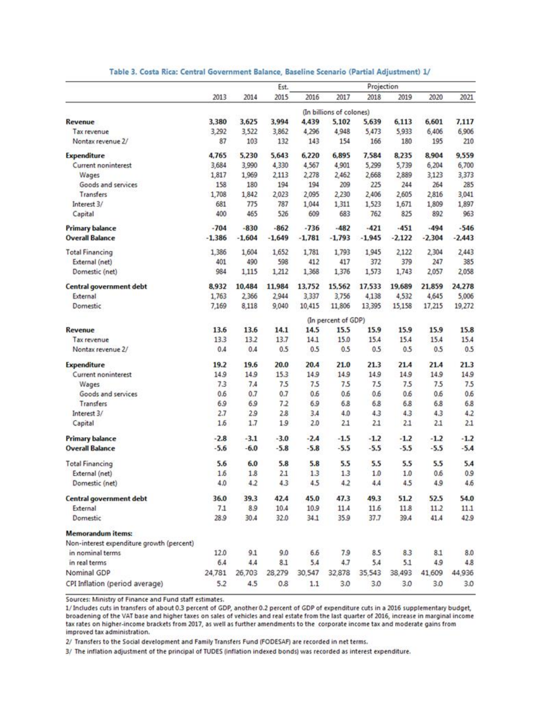|                                           | Projection<br>Est. |          |          |          |                          |          |          |          |          |  |  |
|-------------------------------------------|--------------------|----------|----------|----------|--------------------------|----------|----------|----------|----------|--|--|
|                                           | 2013               | 2014     | 2015     | 2016     | 2017                     | 2018     | 2019     | 2020     | 2021     |  |  |
|                                           |                    |          |          |          | (In billions of colones) |          |          |          |          |  |  |
| Revenue                                   | 3,380              | 3,625    | 3.994    | 4,439    | 5,102                    | 5,639    | 6,113    | 6,601    | 7.117    |  |  |
| Tax revenue                               | 3,292              | 3,522    | 3,862    | 4,296    | 4,948                    | 5,473    | 5,933    | 6,406    | 6,906    |  |  |
| Nontax revenue 2/                         | 87                 | 103      | 132      | 143      | 154                      | 166      | 180      | 195      | 210      |  |  |
| <b>Expenditure</b>                        | 4,765              | 5,230    | 5,643    | 6,220    | 6,895                    | 7,584    | 8,235    | 8,904    | 9,559    |  |  |
| Current noninterest                       | 3,684              | 3,990    | 4,330    | 4,567    | 4,901                    | 5,299    | 5,739    | 6,204    | 6,700    |  |  |
| Wages                                     | 1,817              | 1,969    | 2,113    | 2,278    | 2,462                    | 2,668    | 2,889    | 3,123    | 3,373    |  |  |
| Goods and services                        | 158                | 180      | 194      | 194      | 209                      | 225      | 244      | 264      | 285      |  |  |
| Transfers                                 | 1,708              | 1,842    | 2,023    | 2,095    | 2,230                    | 2,406    | 2,605    | 2,816    | 3,041    |  |  |
| Interest 3/                               | 681                | 775      | 787      | 1,044    | 1,311                    | 1,523    | 1,671    | 1,809    | 1,897    |  |  |
| Capital                                   | 400                | 465      | 526      | 609      | 683                      | 762      | 825      | 892      | 963      |  |  |
| <b>Primary balance</b>                    | $-704$             | $-830$   | $-862$   | $-736$   | $-482$                   | $-421$   | $-451$   | $-494$   | $-546$   |  |  |
| <b>Overall Balance</b>                    | $-1,386$           | $-1,604$ | $-1,649$ | $-1,781$ | $-1,793$                 | $-1,945$ | $-2,122$ | $-2,304$ | $-2,443$ |  |  |
| <b>Total Financing</b>                    | 1,386              | 1,604    | 1,652    | 1,781    | 1,793                    | 1,945    | 2,122    | 2,304    | 2,443    |  |  |
| External (net)                            | 401                | 490      | 598      | 412      | 417                      | 372      | 379      | 247      | 385      |  |  |
| Domestic (net)                            | 984                | 1,115    | 1,212    | 1,368    | 1,376                    | 1,573    | 1,743    | 2,057    | 2,058    |  |  |
| Central government debt                   | 8,932              | 10,484   | 11,984   | 13,752   | 15,562                   | 17,533   | 19,689   | 21,859   | 24,278   |  |  |
| External                                  | 1,763              | 2,366    | 2,944    | 3,337    | 3,756                    | 4,138    | 4,532    | 4,645    | 5,006    |  |  |
| Domestic                                  | 7,169              | 8,118    | 9,040    | 10,415   | 11,806                   | 13,395   | 15,158   | 17,215   | 19,272   |  |  |
|                                           |                    |          |          |          | (In percent of GDP)      |          |          |          |          |  |  |
| Revenue                                   | 13.6               | 13.6     | 14.1     | 14.5     | 15.5                     | 15.9     | 15.9     | 15.9     | 15.8     |  |  |
| Tax revenue                               | 13.3               | 13.2     | 13.7     | 14.1     | 15.0                     | 15.4     | 15.4     | 15.4     | 15.4     |  |  |
| Nontax revenue 2/                         | 0.4                | 0.4      | 0.5      | 0.5      | 0.5                      | 0.5      | 0.5      | 0.5      | 0.5      |  |  |
| <b>Expenditure</b>                        | 19.2               | 19.6     | 20.0     | 20.4     | 21.0                     | 21.3     | 21.4     | 21.4     | 21.3     |  |  |
| Current noninterest                       | 14.9               | 14.9     | 15.3     | 14.9     | 14.9                     | 14.9     | 14.9     | 14.9     | 14.9     |  |  |
| Wages                                     | 7.3                | 7.4      | 7.5      | 7.5      | 7.5                      | 7.5      | 7.5      | 7.5      | 7.5      |  |  |
| Goods and services                        | 0.6                | 0.7      | 0.7      | 0.6      | 0.6                      | 0.6      | 0.6      | 0.6      | 0.6      |  |  |
| Transfers                                 | 6.9                | 6.9      | 7.2      | 6.9      | 6.8                      | 6.8      | 6.8      | 6.8      | 6.8      |  |  |
| Interest 3/                               | 2.7                | 2.9      | 2.8      | 3.4      | 4.0                      | 4.3      | 4.3      | 4.3      | 4.2      |  |  |
| Capital                                   | 1.6                | 1.7      | 1.9      | 2.0      | 2.1                      | 2.1      | 2.1      | 2.1      | 2.1      |  |  |
| <b>Primary balance</b>                    | $-2.8$             | $-3.1$   | $-3.0$   | $-2.4$   | $-1.5$                   | $-1.2$   | $-1.2$   | $-1.2$   | $-1.2$   |  |  |
| <b>Overall Balance</b>                    | $-5.6$             | $-6.0$   | $-5.8$   | $-5.8$   | $-5.5$                   | $-5.5$   | $-5.5$   | $-5.5$   | $-5.4$   |  |  |
| <b>Total Financing</b>                    | 5.6                | 6.0      | 5.8      | 5.8      | 5.5                      | 5.5      | 5.5      | 5.5      | 5.4      |  |  |
| External (net)                            | 1.6                | 1.8      | 2.1      | 1.3      | 1.3                      | 1.0      | 1.0      | 0.6      | 0.9      |  |  |
| Domestic (net)                            | 4.0                | 4.2      | 4.3      | 4.5      | 4.2                      | 4.4      | 4.5      | 4.9      | 4.6      |  |  |
| Central government debt                   | 36.0               | 39.3     | 42.4     | 45.0     | 47.3                     | 49.3     | 51.2     | 52.5     | 54.0     |  |  |
| External                                  | 7.1                | 8.9      | 10.4     | 10.9     | 11.4                     | 11.6     | 11.8     | 11.2     | 11.1     |  |  |
| Domestic                                  | 28.9               | 30.4     | 32.0     | 34.1     | 35.9                     | 37.7     | 39.4     | 41.4     | 42.9     |  |  |
| <b>Memorandum items:</b>                  |                    |          |          |          |                          |          |          |          |          |  |  |
| Non-interest expenditure growth (percent) |                    |          |          |          |                          |          |          |          |          |  |  |
| in nominal terms                          | 12.0               | 9.1      | 9.0      | 6.6      | 7.9                      | 8.5      | 8.3      | 8.1      | 8.0      |  |  |
| in real terms                             | 6.4                | 4.4      | 8.1      | 5.4      | 4.7                      | 5.4      | 5.1      | 4.9      | 4.8      |  |  |
| Nominal GDP                               | 24,781             | 26,703   | 28,279   | 30,547   | 32,878                   | 35,543   | 38,493   | 41,609   | 44,936   |  |  |
| CPI Inflation (period average)            | 5.2                | 4.5      | 0.8      | 1.1      | 3.0                      | 3.0      | 3.0      | 3.0      | 3.0      |  |  |

#### Table 3. Costa Rica: Central Government Balance, Baseline Scenario (Partial Adjustment) 1/

Sources: Ministry of Finance and Fund staff estimates.

1/ Includes cuts in transfers of about 0.3 percent of GDP, another 0.2 percent of GDP of expenditure cuts in a 2016 supplementary budget, broadening of the VAT base and higher taxes on sales of vehicles and real estate from the last quarter of 2016, increase in marginal income tax rates on higher-income brackets from 2017, as well as further amendments to the corporate income tax and moderate gains from improved tax administration.

2/ Transfers to the Social development and Family Transfers Fund (FODESAF) are recorded in net terms.

3/ The inflation adjustment of the principal of TUDES (inflation indexed bonds) was recorded as interest expenditure.